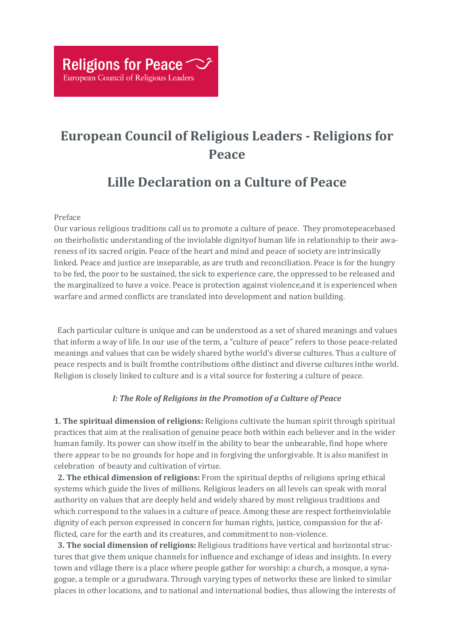# **European Council of Religious Leaders - Religions for Peace**

## **Lille Declaration on a Culture of Peace**

#### Preface

Our various religious traditions call us to promote a culture of peace. They promotepeacebased on theirholistic understanding of the inviolable dignityof human life in relationship to their awareness of its sacred origin. Peace of the heart and mind and peace of society are intrinsically linked. Peace and justice are inseparable, as are truth and reconciliation. Peace is for the hungry to be fed, the poor to be sustained, the sick to experience care, the oppressed to be released and the marginalized to have a voice. Peace is protection against violence,and it is experienced when warfare and armed conflicts are translated into development and nation building.

Each particular culture is unique and can be understood as a set of shared meanings and values that inform a way of life. In our use of the term, a "culture of peace" refers to those peace-related meanings and values that can be widely shared bythe world's diverse cultures. Thus a culture of peace respects and is built fromthe contributions ofthe distinct and diverse cultures inthe world. Religion is closely linked to culture and is a vital source for fostering a culture of peace.

## *I: The Role of Religions in the Promotion of a Culture of Peace*

**1. The spiritual dimension of religions:** Religions cultivate the human spirit through spiritual practices that aim at the realisation of genuine peace both within each believer and in the wider human family. Its power can show itself in the ability to bear the unbearable, find hope where there appear to be no grounds for hope and in forgiving the unforgivable. It is also manifest in celebration of beauty and cultivation of virtue.

**2. The ethical dimension of religions:** From the spiritual depths of religions spring ethical systems which guide the lives of millions. Religious leaders on all levels can speak with moral authority on values that are deeply held and widely shared by most religious traditions and which correspond to the values in a culture of peace. Among these are respect fortheinviolable dignity of each person expressed in concern for human rights, justice, compassion for the afflicted, care for the earth and its creatures, and commitment to non-violence.

**3. The social dimension of religions:** Religious traditions have vertical and horizontal structures that give them unique channels for influence and exchange of ideas and insights. In every town and village there is a place where people gather for worship: a church, a mosque, a synagogue, a temple or a gurudwara. Through varying types of networks these are linked to similar places in other locations, and to national and international bodies, thus allowing the interests of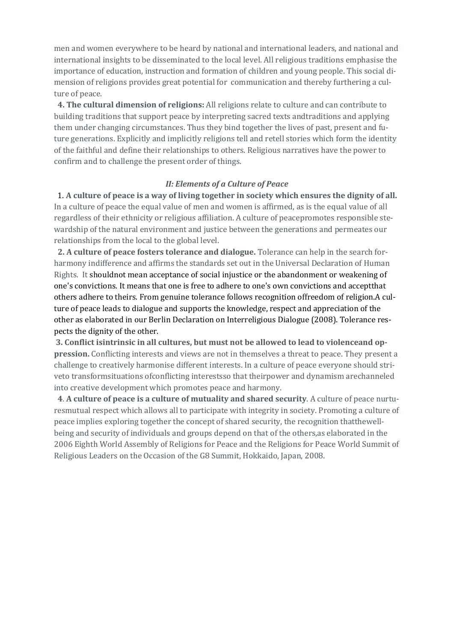men and women everywhere to be heard by national and international leaders, and national and international insights to be disseminated to the local level. All religious traditions emphasise the importance of education, instruction and formation of children and young people. This social dimension of religions provides great potential for communication and thereby furthering a culture of peace.

**4. The cultural dimension of religions:** All religions relate to culture and can contribute to building traditions that support peace by interpreting sacred texts andtraditions and applying them under changing circumstances. Thus they bind together the lives of past, present and future generations. Explicitly and implicitly religions tell and retell stories which form the identity of the faithful and define their relationships to others. Religious narratives have the power to confirm and to challenge the present order of things.

#### *II: Elements of a Culture of Peace*

1. **A culture of peace is a way of living together in society which ensures the dignity of all.** In a culture of peace the equal value of men and women is affirmed, as is the equal value of all regardless of their ethnicity or religious affiliation. A culture of peacepromotes responsible stewardship of the natural environment and justice between the generations and permeates our relationships from the local to the global level.

**2. A culture of peace fosters tolerance and dialogue.** Tolerance can help in the search forharmony indifference and affirms the standards set out in the Universal Declaration of Human Rights. It shouldnot mean acceptance of social injustice or the abandonment or weakening of one's convictions. It means that one is free to adhere to one's own convictions and acceptthat others adhere to theirs. From genuine tolerance follows recognition offreedom of religion.A culture of peace leads to dialogue and supports the knowledge, respect and appreciation of the other as elaborated in our Berlin Declaration on Interreligious Dialogue (2008). Tolerance respects the dignity of the other.

**3. Conflict isintrinsic in all cultures, but must not be allowed to lead to violenceand oppression.** Conflicting interests and views are not in themselves a threat to peace. They present a challenge to creatively harmonise different interests. In a culture of peace everyone should striveto transformsituations ofconflicting interestsso that theirpower and dynamism arechanneled into creative development which promotes peace and harmony.

**4**. **A culture of peace is a culture of mutuality and shared security**. A culture of peace nurturesmutual respect which allows all to participate with integrity in society. Promoting a culture of peace implies exploring together the concept of shared security, the recognition thatthewellbeing and security of individuals and groups depend on that of the others,as elaborated in the 2006 Eighth World Assembly of Religions for Peace and the Religions for Peace World Summit of Religious Leaders on the Occasion of the G8 Summit, Hokkaido, Japan, 2008.